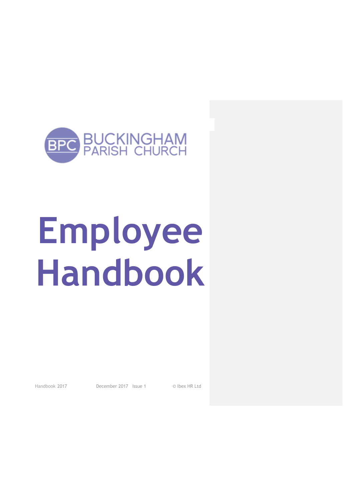

# **Employee Handbook**

Handbook 2017 December 2017 Issue 1 © Ibex HR Ltd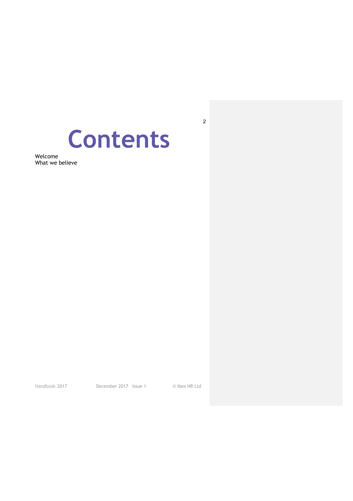## **Contents**

Welcome What we believe

Handbook 2017 December 2017 Issue 1 © Ibex HR Ltd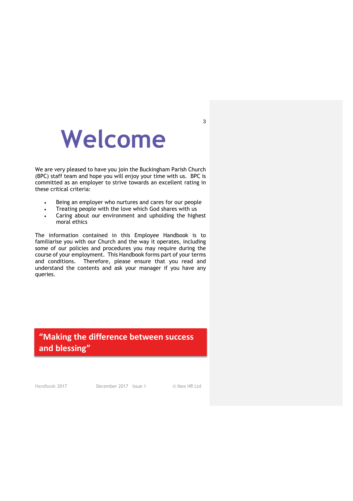## **Welcome**

We are very pleased to have you join the Buckingham Parish Church (BPC) staff team and hope you will enjoy your time with us. BPC is committed as an employer to strive towards an excellent rating in these critical criteria:

- Being an employer who nurtures and cares for our people
- Treating people with the love which God shares with us
- Caring about our environment and upholding the highest moral ethics

The information contained in this Employee Handbook is to familiarise you with our Church and the way it operates, including some of our policies and procedures you may require during the course of your employment. This Handbook forms part of your terms and conditions. Therefore, please ensure that you read and understand the contents and ask your manager if you have any queries.

#### **"Making the difference between success and blessing"**

Handbook 2017 December 2017 Issue 1 © Ibex HR Ltd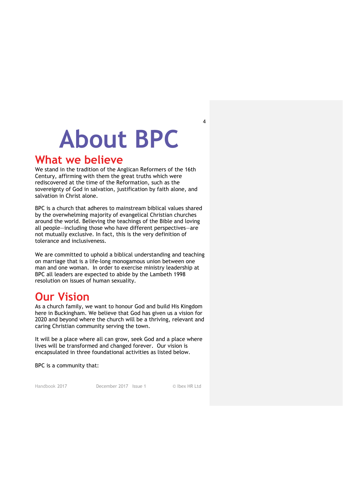## **About BPC**

### **What we believe**

We stand in the tradition of the Anglican Reformers of the 16th Century, affirming with them the great truths which were rediscovered at the time of the Reformation, such as the sovereignty of God in salvation, justification by faith alone, and salvation in Christ alone.

BPC is a church that adheres to mainstream biblical values shared by the overwhelming majority of evangelical Christian churches around the world. Believing the teachings of the Bible and loving all people—including those who have different perspectives—are not mutually exclusive. In fact, this is the very definition of tolerance and inclusiveness.

We are committed to uphold a biblical understanding and teaching on marriage that is a life-long monogamous union between one man and one woman. In order to exercise ministry leadership at BPC all leaders are expected to abide by the Lambeth 1998 resolution on issues of human sexuality.

## **Our Vision**

As a church family, we want to honour God and build His Kingdom here in Buckingham. We believe that God has given us a vision for 2020 and beyond where the church will be a thriving, relevant and caring Christian community serving the town.

It will be a place where all can grow, seek God and a place where lives will be transformed and changed forever. Our vision is encapsulated in three foundational activities as listed below.

BPC is a community that:

Handbook 2017 December 2017 Issue 1 © Ibex HR Ltd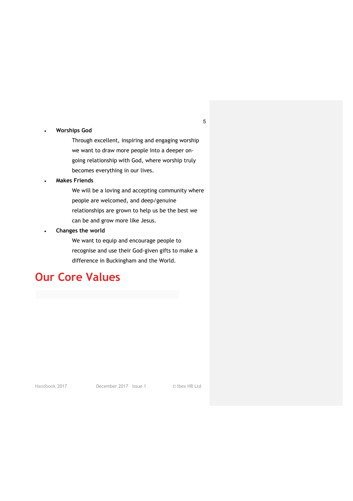#### • **Worships God**

Through excellent, inspiring and engaging worship we want to draw more people into a deeper ongoing relationship with God, where worship truly becomes everything in our lives.

#### • **Makes Friends**

We will be a loving and accepting community where people are welcomed, and deep/genuine relationships are grown to help us be the best we can be and grow more like Jesus.

#### • **Changes the world**

We want to equip and encourage people to recognise and use their God-given gifts to make a difference in Buckingham and the World.

## **Our Core Values**

Handbook 2017 December 2017 Issue 1 © Ibex HR Ltd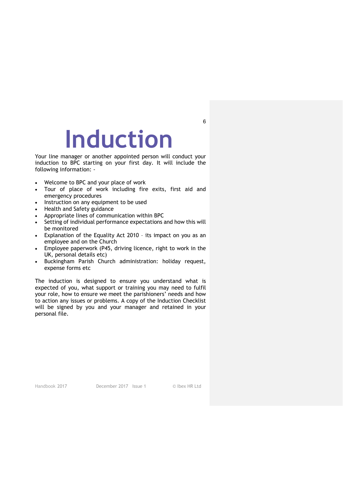## **Induction**

Your line manager or another appointed person will conduct your induction to BPC starting on your first day. It will include the following information: -

- Welcome to BPC and your place of work
- Tour of place of work including fire exits, first aid and emergency procedures
- Instruction on any equipment to be used
- Health and Safety guidance
- Appropriate lines of communication within BPC
- Setting of individual performance expectations and how this will be monitored
- Explanation of the Equality Act 2010 its impact on you as an employee and on the Church
- Employee paperwork (P45, driving licence, right to work in the UK, personal details etc)
- Buckingham Parish Church administration: holiday request, expense forms etc

The induction is designed to ensure you understand what is expected of you, what support or training you may need to fulfil your role, how to ensure we meet the parishioners' needs and how to action any issues or problems. A copy of the Induction Checklist will be signed by you and your manager and retained in your personal file.

Handbook 2017 December 2017 Issue 1 © Ibex HR Ltd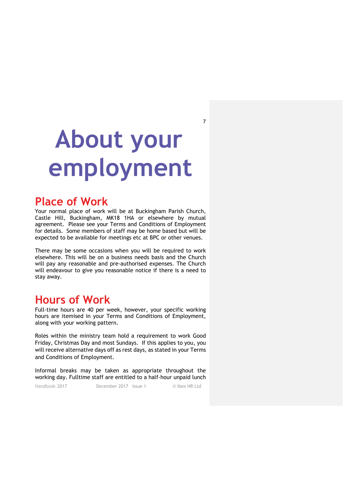## **About your employment**

7

### **Place of Work**

Your normal place of work will be at Buckingham Parish Church, Castle Hill, Buckingham, MK18 1HA or elsewhere by mutual agreement. Please see your Terms and Conditions of Employment for details. Some members of staff may be home based but will be expected to be available for meetings etc at BPC or other venues.

There may be some occasions when you will be required to work elsewhere. This will be on a business needs basis and the Church will pay any reasonable and pre-authorised expenses. The Church will endeavour to give you reasonable notice if there is a need to stay away.

## **Hours of Work**

Full-time hours are 40 per week, however, your specific working hours are itemised in your Terms and Conditions of Employment, along with your working pattern.

Roles within the ministry team hold a requirement to work Good Friday, Christmas Day and most Sundays. If this applies to you, you will receive alternative days off as rest days, as stated in your Terms and Conditions of Employment.

Informal breaks may be taken as appropriate throughout the working day. Fulltime staff are entitled to a half-hour unpaid lunch

Handbook 2017 December 2017 Issue 1 © Ibex HR Ltd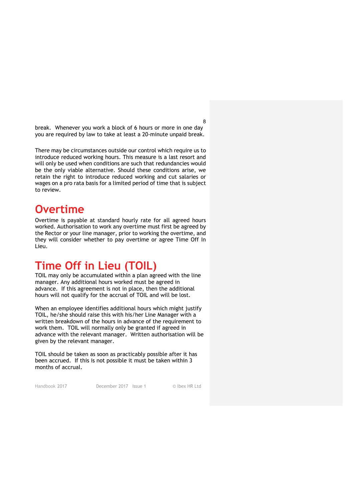break. Whenever you work a block of 6 hours or more in one day you are required by law to take at least a 20-minute unpaid break.

There may be circumstances outside our control which require us to introduce reduced working hours. This measure is a last resort and will only be used when conditions are such that redundancies would be the only viable alternative. Should these conditions arise, we retain the right to introduce reduced working and cut salaries or wages on a pro rata basis for a limited period of time that is subject to review.

### **Overtime**

Overtime is payable at standard hourly rate for all agreed hours worked. Authorisation to work any overtime must first be agreed by the Rector or your line manager, prior to working the overtime, and they will consider whether to pay overtime or agree Time Off In Lieu.

## **Time Off in Lieu (TOIL)**

TOIL may only be accumulated within a plan agreed with the line manager. Any additional hours worked must be agreed in advance. If this agreement is not in place, then the additional hours will not qualify for the accrual of TOIL and will be lost.

When an employee identifies additional hours which might justify TOIL, he/she should raise this with his/her Line Manager with a written breakdown of the hours in advance of the requirement to work them. TOIL will normally only be granted if agreed in advance with the relevant manager. Written authorisation will be given by the relevant manager.

TOIL should be taken as soon as practicably possible after it has been accrued. If this is not possible it must be taken within 3 months of accrual.

Handbook 2017 December 2017 Issue 1 © Ibex HR Ltd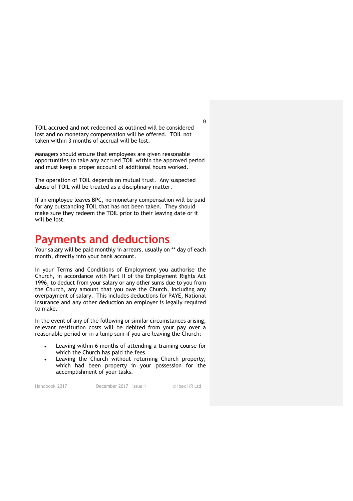TOIL accrued and not redeemed as outlined will be considered lost and no monetary compensation will be offered. TOIL not taken within 3 months of accrual will be lost.

Managers should ensure that employees are given reasonable opportunities to take any accrued TOIL within the approved period and must keep a proper account of additional hours worked.

The operation of TOIL depends on mutual trust. Any suspected abuse of TOIL will be treated as a disciplinary matter.

If an employee leaves BPC, no monetary compensation will be paid for any outstanding TOIL that has not been taken. They should make sure they redeem the TOIL prior to their leaving date or it will be lost.

### **Payments and deductions**

Your salary will be paid monthly in arrears, usually on \*\* day of each month, directly into your bank account.

In your Terms and Conditions of Employment you authorise the Church, in accordance with Part II of the Employment Rights Act 1996, to deduct from your salary or any other sums due to you from the Church, any amount that you owe the Church, including any overpayment of salary. This includes deductions for PAYE, National Insurance and any other deduction an employer is legally required to make.

In the event of any of the following or similar circumstances arising, relevant restitution costs will be debited from your pay over a reasonable period or in a lump sum if you are leaving the Church:

- Leaving within 6 months of attending a training course for which the Church has paid the fees.
- Leaving the Church without returning Church property, which had been property in your possession for the accomplishment of your tasks.

Handbook 2017 December 2017 Issue 1 © Ibex HR Ltd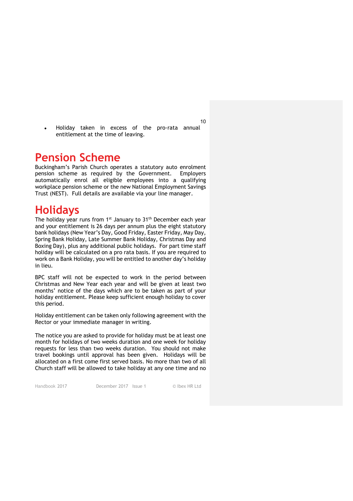Holiday taken in excess of the pro-rata annual entitlement at the time of leaving.

### **Pension Scheme**

Buckingham's Parish Church operates a statutory auto enrolment pension scheme as required by the Government. Employers automatically enrol all eligible employees into a qualifying workplace pension scheme or the new National Employment Savings Trust (NEST). Full details are available via your line manager.

### **Holidays**

The holiday year runs from 1<sup>st</sup> January to 31<sup>th</sup> December each year and your entitlement is 26 days per annum plus the eight statutory bank holidays (New Year's Day, Good Friday, Easter Friday, May Day, Spring Bank Holiday, Late Summer Bank Holiday, Christmas Day and Boxing Day), plus any additional public holidays. For part time staff holiday will be calculated on a pro rata basis. If you are required to work on a Bank Holiday, you will be entitled to another day's holiday in lieu.

BPC staff will not be expected to work in the period between Christmas and New Year each year and will be given at least two months' notice of the days which are to be taken as part of your holiday entitlement. Please keep sufficient enough holiday to cover this period.

Holiday entitlement can be taken only following agreement with the Rector or your immediate manager in writing.

The notice you are asked to provide for holiday must be at least one month for holidays of two weeks duration and one week for holiday requests for less than two weeks duration. You should not make travel bookings until approval has been given. Holidays will be allocated on a first come first served basis. No more than two of all Church staff will be allowed to take holiday at any one time and no

Handbook 2017 December 2017 Issue 1 © Ibex HR Ltd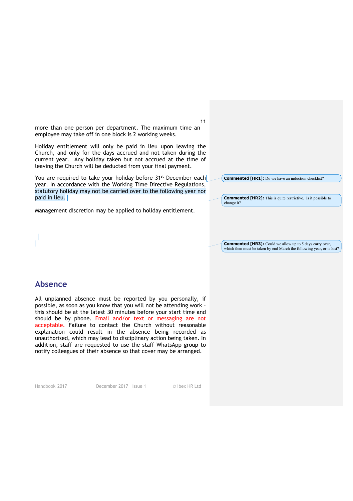11 more than one person per department. The maximum time an employee may take off in one block is 2 working weeks.

Holiday entitlement will only be paid in lieu upon leaving the Church, and only for the days accrued and not taken during the current year. Any holiday taken but not accrued at the time of leaving the Church will be deducted from your final payment.

You are required to take your holiday before 31<sup>st</sup> December each year. In accordance with the Working Time Directive Regulations, statutory holiday may not be carried over to the following year nor paid in lieu.

Management discretion may be applied to holiday entitlement.

**Commented [HR1]:** Do we have an induction checklist?

**Commented [HR2]:** This is quite restrictive. Is it possible to change it?

**Commented [HR3]:** Could we allow up to 5 days carry over, which then must be taken by end March the following year, or is lost?

#### **Absence**

All unplanned absence must be reported by you personally, if possible, as soon as you know that you will not be attending work – this should be at the latest 30 minutes before your start time and should be by phone. Email and/or text or messaging are not acceptable. Failure to contact the Church without reasonable explanation could result in the absence being recorded as unauthorised, which may lead to disciplinary action being taken. In addition, staff are requested to use the staff WhatsApp group to notify colleagues of their absence so that cover may be arranged.

Handbook 2017 December 2017 Issue 1 © Ibex HR Ltd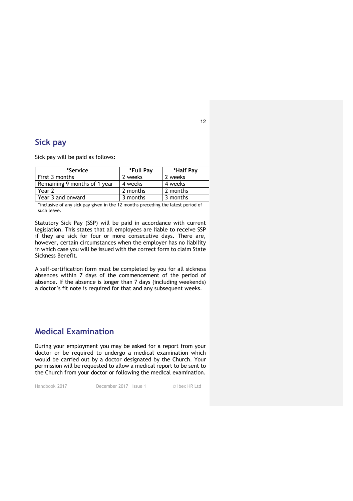#### **Sick pay**

Sick pay will be paid as follows:

| *Service                     | *Full Pav | *Half Pav |
|------------------------------|-----------|-----------|
| First 3 months               | 2 weeks   | 2 weeks   |
| Remaining 9 months of 1 year | 4 weeks   | 4 weeks   |
| Year 2                       | 2 months  | 2 months  |
| Year 3 and onward            | 3 months  | 3 months  |

\*inclusive of any sick pay given in the 12 months preceding the latest period of such leave.

Statutory Sick Pay (SSP) will be paid in accordance with current legislation. This states that all employees are liable to receive SSP if they are sick for four or more consecutive days. There are, however, certain circumstances when the employer has no liability in which case you will be issued with the correct form to claim State Sickness Benefit.

A self-certification form must be completed by you for all sickness absences within 7 days of the commencement of the period of absence. If the absence is longer than 7 days (including weekends) a doctor's fit note is required for that and any subsequent weeks.

#### **Medical Examination**

During your employment you may be asked for a report from your doctor or be required to undergo a medical examination which would be carried out by a doctor designated by the Church. Your permission will be requested to allow a medical report to be sent to the Church from your doctor or following the medical examination.

Handbook 2017 December 2017 Issue 1 © Ibex HR Ltd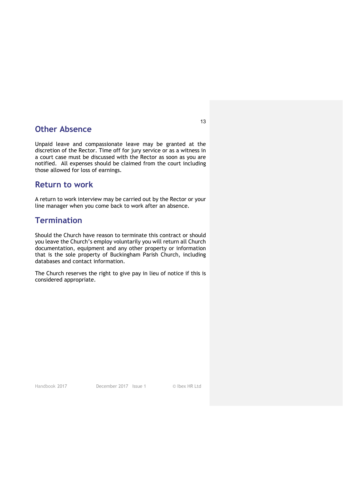#### **Other Absence**

Unpaid leave and compassionate leave may be granted at the discretion of the Rector. Time off for jury service or as a witness in a court case must be discussed with the Rector as soon as you are notified. All expenses should be claimed from the court including those allowed for loss of earnings.

#### **Return to work**

A return to work interview may be carried out by the Rector or your line manager when you come back to work after an absence.

#### **Termination**

Should the Church have reason to terminate this contract or should you leave the Church's employ voluntarily you will return all Church documentation, equipment and any other property or information that is the sole property of Buckingham Parish Church, including databases and contact information.

The Church reserves the right to give pay in lieu of notice if this is considered appropriate.

Handbook 2017 December 2017 Issue 1 © Ibex HR Ltd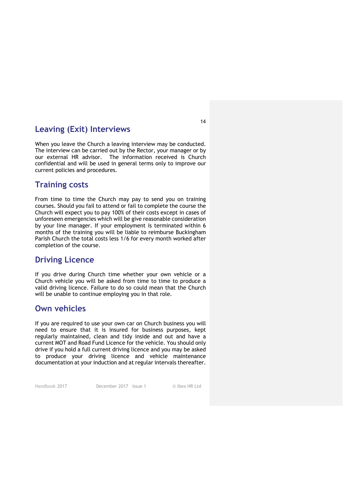#### **Leaving (Exit) Interviews**

When you leave the Church a leaving interview may be conducted. The interview can be carried out by the Rector, your manager or by our external HR advisor. The information received is Church confidential and will be used in general terms only to improve our current policies and procedures.

#### **Training costs**

From time to time the Church may pay to send you on training courses. Should you fail to attend or fail to complete the course the Church will expect you to pay 100% of their costs except in cases of unforeseen emergencies which will be give reasonable consideration by your line manager. If your employment is terminated within 6 months of the training you will be liable to reimburse Buckingham Parish Church the total costs less 1/6 for every month worked after completion of the course.

#### **Driving Licence**

If you drive during Church time whether your own vehicle or a Church vehicle you will be asked from time to time to produce a valid driving licence. Failure to do so could mean that the Church will be unable to continue employing you in that role.

#### **Own vehicles**

If you are required to use your own car on Church business you will need to ensure that it is insured for business purposes, kept regularly maintained, clean and tidy inside and out and have a current MOT and Road Fund Licence for the vehicle. You should only drive if you hold a full current driving licence and you may be asked to produce your driving licence and vehicle maintenance documentation at your induction and at regular intervals thereafter.

Handbook 2017 December 2017 Issue 1 © Ibex HR Ltd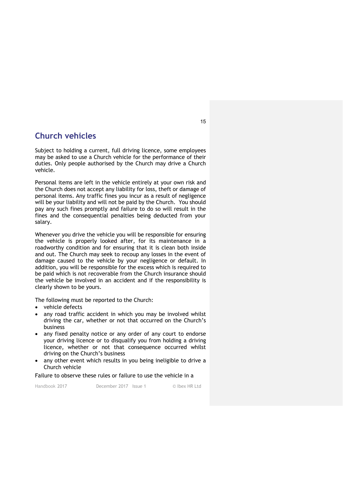#### **Church vehicles**

Subject to holding a current, full driving licence, some employees may be asked to use a Church vehicle for the performance of their duties. Only people authorised by the Church may drive a Church vehicle.

Personal items are left in the vehicle entirely at your own risk and the Church does not accept any liability for loss, theft or damage of personal items. Any traffic fines you incur as a result of negligence will be your liability and will not be paid by the Church. You should pay any such fines promptly and failure to do so will result in the fines and the consequential penalties being deducted from your salary.

Whenever you drive the vehicle you will be responsible for ensuring the vehicle is properly looked after, for its maintenance in a roadworthy condition and for ensuring that it is clean both inside and out. The Church may seek to recoup any losses in the event of damage caused to the vehicle by your negligence or default. In addition, you will be responsible for the excess which is required to be paid which is not recoverable from the Church insurance should the vehicle be involved in an accident and if the responsibility is clearly shown to be yours.

The following must be reported to the Church:

- vehicle defects
- any road traffic accident in which you may be involved whilst driving the car, whether or not that occurred on the Church's business
- any fixed penalty notice or any order of any court to endorse your driving licence or to disqualify you from holding a driving licence, whether or not that consequence occurred whilst driving on the Church's business
- any other event which results in you being ineligible to drive a Church vehicle

Failure to observe these rules or failure to use the vehicle in a

Handbook 2017 December 2017 Issue 1 © Ibex HR Ltd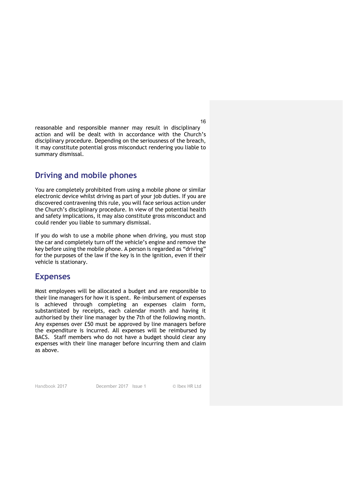reasonable and responsible manner may result in disciplinary action and will be dealt with in accordance with the Church's disciplinary procedure. Depending on the seriousness of the breach, it may constitute potential gross misconduct rendering you liable to summary dismissal.

#### **Driving and mobile phones**

You are completely prohibited from using a mobile phone or similar electronic device whilst driving as part of your job duties. If you are discovered contravening this rule, you will face serious action under the Church's disciplinary procedure. In view of the potential health and safety implications, it may also constitute gross misconduct and could render you liable to summary dismissal.

If you do wish to use a mobile phone when driving, you must stop the car and completely turn off the vehicle's engine and remove the key before using the mobile phone. A person is regarded as "driving" for the purposes of the law if the key is in the ignition, even if their vehicle is stationary.

#### **Expenses**

Most employees will be allocated a budget and are responsible to their line managers for how it is spent. Re-imbursement of expenses is achieved through completing an expenses claim form, substantiated by receipts, each calendar month and having it authorised by their line manager by the 7th of the following month. Any expenses over £50 must be approved by line managers before the expenditure is incurred. All expenses will be reimbursed by BACS. Staff members who do not have a budget should clear any expenses with their line manager before incurring them and claim as above.

Handbook 2017 December 2017 Issue 1 © Ibex HR Ltd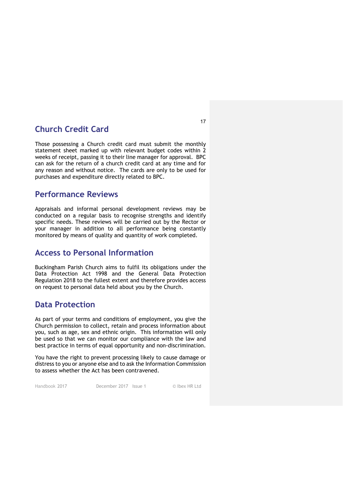#### **Church Credit Card**

Those possessing a Church credit card must submit the monthly statement sheet marked up with relevant budget codes within 2 weeks of receipt, passing it to their line manager for approval. BPC can ask for the return of a church credit card at any time and for any reason and without notice. The cards are only to be used for purchases and expenditure directly related to BPC.

#### **Performance Reviews**

Appraisals and informal personal development reviews may be conducted on a regular basis to recognise strengths and identify specific needs. These reviews will be carried out by the Rector or your manager in addition to all performance being constantly monitored by means of quality and quantity of work completed.

#### **Access to Personal Information**

Buckingham Parish Church aims to fulfil its obligations under the Data Protection Act 1998 and the General Data Protection Regulation 2018 to the fullest extent and therefore provides access on request to personal data held about you by the Church.

#### **Data Protection**

As part of your terms and conditions of employment, you give the Church permission to collect, retain and process information about you, such as age, sex and ethnic origin. This information will only be used so that we can monitor our compliance with the law and best practice in terms of equal opportunity and non-discrimination.

You have the right to prevent processing likely to cause damage or distress to you or anyone else and to ask the Information Commission to assess whether the Act has been contravened.

Handbook 2017 December 2017 Issue 1 © Ibex HR Ltd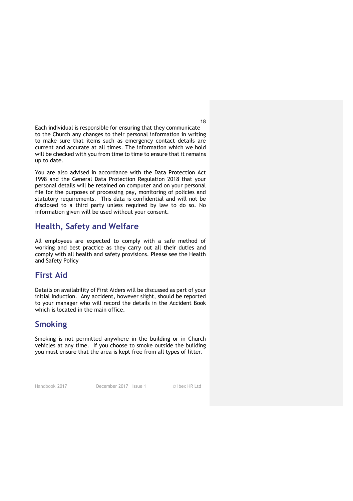Each individual is responsible for ensuring that they communicate to the Church any changes to their personal information in writing to make sure that items such as emergency contact details are current and accurate at all times. The information which we hold will be checked with you from time to time to ensure that it remains up to date.

You are also advised in accordance with the Data Protection Act 1998 and the General Data Protection Regulation 2018 that your personal details will be retained on computer and on your personal file for the purposes of processing pay, monitoring of policies and statutory requirements. This data is confidential and will not be disclosed to a third party unless required by law to do so. No information given will be used without your consent.

#### **Health, Safety and Welfare**

All employees are expected to comply with a safe method of working and best practice as they carry out all their duties and comply with all health and safety provisions. Please see the Health and Safety Policy

#### **First Aid**

Details on availability of First Aiders will be discussed as part of your initial Induction. Any accident, however slight, should be reported to your manager who will record the details in the Accident Book which is located in the main office.

#### **Smoking**

Smoking is not permitted anywhere in the building or in Church vehicles at any time. If you choose to smoke outside the building you must ensure that the area is kept free from all types of litter.

Handbook 2017 December 2017 Issue 1 © Ibex HR Ltd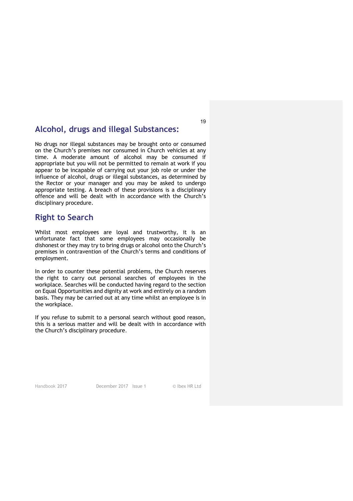#### **Alcohol, drugs and illegal Substances:**

No drugs nor illegal substances may be brought onto or consumed on the Church's premises nor consumed in Church vehicles at any time. A moderate amount of alcohol may be consumed if appropriate but you will not be permitted to remain at work if you appear to be incapable of carrying out your job role or under the influence of alcohol, drugs or illegal substances, as determined by the Rector or your manager and you may be asked to undergo appropriate testing. A breach of these provisions is a disciplinary offence and will be dealt with in accordance with the Church's disciplinary procedure.

#### **Right to Search**

Whilst most employees are loyal and trustworthy, it is an unfortunate fact that some employees may occasionally be dishonest or they may try to bring drugs or alcohol onto the Church's premises in contravention of the Church's terms and conditions of employment.

In order to counter these potential problems, the Church reserves the right to carry out personal searches of employees in the workplace. Searches will be conducted having regard to the section on Equal Opportunities and dignity at work and entirely on a random basis. They may be carried out at any time whilst an employee is in the workplace.

If you refuse to submit to a personal search without good reason, this is a serious matter and will be dealt with in accordance with the Church's disciplinary procedure.

Handbook 2017 December 2017 Issue 1 © Ibex HR Ltd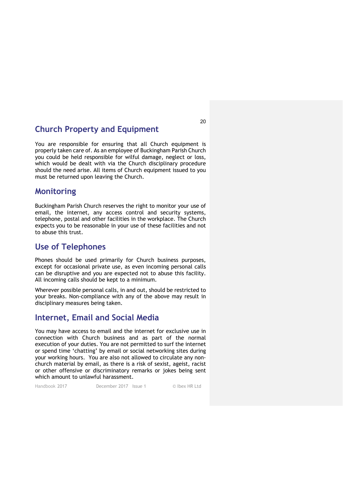#### **Church Property and Equipment**

You are responsible for ensuring that all Church equipment is properly taken care of. As an employee of Buckingham Parish Church you could be held responsible for wilful damage, neglect or loss, which would be dealt with via the Church disciplinary procedure should the need arise. All items of Church equipment issued to you must be returned upon leaving the Church.

#### **Monitoring**

Buckingham Parish Church reserves the right to monitor your use of email, the internet, any access control and security systems, telephone, postal and other facilities in the workplace. The Church expects you to be reasonable in your use of these facilities and not to abuse this trust.

#### **Use of Telephones**

Phones should be used primarily for Church business purposes, except for occasional private use, as even incoming personal calls can be disruptive and you are expected not to abuse this facility. All incoming calls should be kept to a minimum.

Wherever possible personal calls, in and out, should be restricted to your breaks. Non-compliance with any of the above may result in disciplinary measures being taken.

#### **Internet, Email and Social Media**

You may have access to email and the internet for exclusive use in connection with Church business and as part of the normal execution of your duties. You are not permitted to surf the internet or spend time 'chatting' by email or social networking sites during your working hours. You are also not allowed to circulate any nonchurch material by email, as there is a risk of sexist, ageist, racist or other offensive or discriminatory remarks or jokes being sent which amount to unlawful harassment.

Handbook 2017 December 2017 Issue 1 © Ibex HR Ltd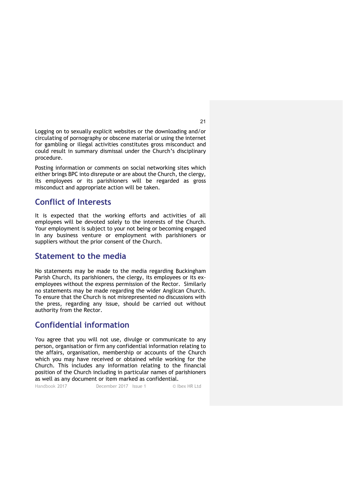Logging on to sexually explicit websites or the downloading and/or circulating of pornography or obscene material or using the internet for gambling or illegal activities constitutes gross misconduct and could result in summary dismissal under the Church's disciplinary procedure.

Posting information or comments on social networking sites which either brings BPC into disrepute or are about the Church, the clergy, its employees or its parishioners will be regarded as gross misconduct and appropriate action will be taken.

#### **Conflict of Interests**

It is expected that the working efforts and activities of all employees will be devoted solely to the interests of the Church. Your employment is subject to your not being or becoming engaged in any business venture or employment with parishioners or suppliers without the prior consent of the Church.

#### **Statement to the media**

No statements may be made to the media regarding Buckingham Parish Church, its parishioners, the clergy, its employees or its exemployees without the express permission of the Rector. Similarly no statements may be made regarding the wider Anglican Church. To ensure that the Church is not misrepresented no discussions with the press, regarding any issue, should be carried out without authority from the Rector.

#### **Confidential information**

You agree that you will not use, divulge or communicate to any person, organisation or firm any confidential information relating to the affairs, organisation, membership or accounts of the Church which you may have received or obtained while working for the Church. This includes any information relating to the financial position of the Church including in particular names of parishioners as well as any document or item marked as confidential.

Handbook 2017 December 2017 Issue 1 © Ibex HR Ltd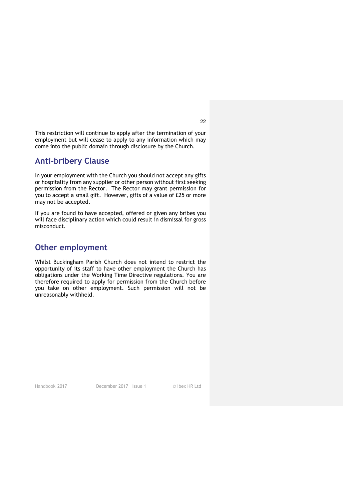This restriction will continue to apply after the termination of your employment but will cease to apply to any information which may come into the public domain through disclosure by the Church.

#### **Anti-bribery Clause**

In your employment with the Church you should not accept any gifts or hospitality from any supplier or other person without first seeking permission from the Rector. The Rector may grant permission for you to accept a small gift. However, gifts of a value of £25 or more may not be accepted.

If you are found to have accepted, offered or given any bribes you will face disciplinary action which could result in dismissal for gross misconduct.

#### **Other employment**

Whilst Buckingham Parish Church does not intend to restrict the opportunity of its staff to have other employment the Church has obligations under the Working Time Directive regulations. You are therefore required to apply for permission from the Church before you take on other employment. Such permission will not be unreasonably withheld.

Handbook 2017 December 2017 Issue 1 © Ibex HR Ltd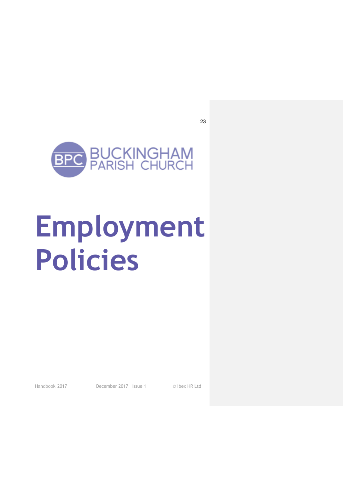

## **Employment Policies**

Handbook 2017 December 2017 Issue 1 © Ibex HR Ltd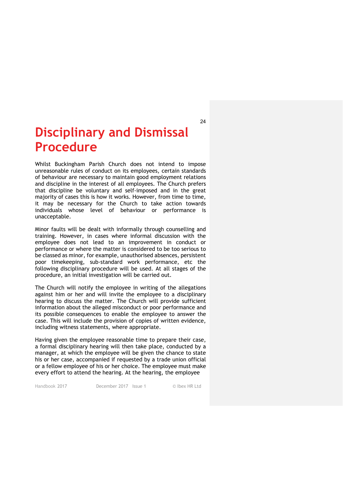## **Disciplinary and Dismissal Procedure**

 Whilst Buckingham Parish Church does not intend to impose unreasonable rules of conduct on its employees, certain standards of behaviour are necessary to maintain good employment relations and discipline in the interest of all employees. The Church prefers that discipline be voluntary and self-imposed and in the great majority of cases this is how it works. However, from time to time, it may be necessary for the Church to take action towards individuals whose level of behaviour or performance is unacceptable.

Minor faults will be dealt with informally through counselling and training. However, in cases where informal discussion with the employee does not lead to an improvement in conduct or performance or where the matter is considered to be too serious to be classed as minor, for example, unauthorised absences, persistent poor timekeeping, sub-standard work performance, etc the following disciplinary procedure will be used. At all stages of the procedure, an initial investigation will be carried out.

The Church will notify the employee in writing of the allegations against him or her and will invite the employee to a disciplinary hearing to discuss the matter. The Church will provide sufficient information about the alleged misconduct or poor performance and its possible consequences to enable the employee to answer the case. This will include the provision of copies of written evidence, including witness statements, where appropriate.

Having given the employee reasonable time to prepare their case, a formal disciplinary hearing will then take place, conducted by a manager, at which the employee will be given the chance to state his or her case, accompanied if requested by a trade union official or a fellow employee of his or her choice. The employee must make every effort to attend the hearing. At the hearing, the employee

Handbook 2017 December 2017 Issue 1 © Ibex HR Ltd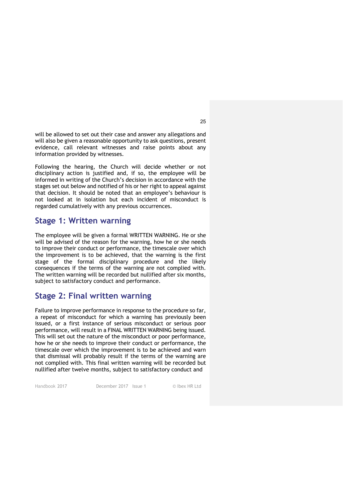will be allowed to set out their case and answer any allegations and will also be given a reasonable opportunity to ask questions, present evidence, call relevant witnesses and raise points about any information provided by witnesses.

Following the hearing, the Church will decide whether or not disciplinary action is justified and, if so, the employee will be informed in writing of the Church's decision in accordance with the stages set out below and notified of his or her right to appeal against that decision. It should be noted that an employee's behaviour is not looked at in isolation but each incident of misconduct is regarded cumulatively with any previous occurrences.

#### **Stage 1: Written warning**

The employee will be given a formal WRITTEN WARNING. He or she will be advised of the reason for the warning, how he or she needs to improve their conduct or performance, the timescale over which the improvement is to be achieved, that the warning is the first stage of the formal disciplinary procedure and the likely consequences if the terms of the warning are not complied with. The written warning will be recorded but nullified after six months, subject to satisfactory conduct and performance.

#### **Stage 2: Final written warning**

Failure to improve performance in response to the procedure so far, a repeat of misconduct for which a warning has previously been issued, or a first instance of serious misconduct or serious poor performance, will result in a FINAL WRITTEN WARNING being issued. This will set out the nature of the misconduct or poor performance, how he or she needs to improve their conduct or performance, the timescale over which the improvement is to be achieved and warn that dismissal will probably result if the terms of the warning are not complied with. This final written warning will be recorded but nullified after twelve months, subject to satisfactory conduct and

Handbook 2017 December 2017 Issue 1 © Ibex HR Ltd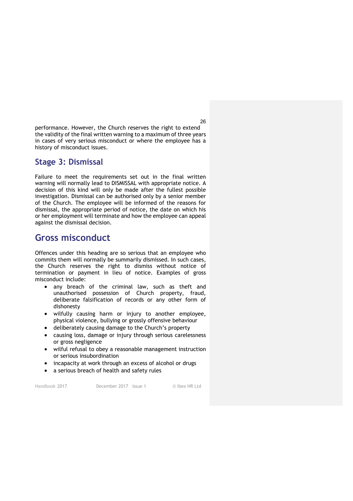performance. However, the Church reserves the right to extend the validity of the final written warning to a maximum of three years in cases of very serious misconduct or where the employee has a history of misconduct issues.

#### **Stage 3: Dismissal**

Failure to meet the requirements set out in the final written warning will normally lead to DISMISSAL with appropriate notice. A decision of this kind will only be made after the fullest possible investigation. Dismissal can be authorised only by a senior member of the Church. The employee will be informed of the reasons for dismissal, the appropriate period of notice, the date on which his or her employment will terminate and how the employee can appeal against the dismissal decision.

#### **Gross misconduct**

Offences under this heading are so serious that an employee who commits them will normally be summarily dismissed. In such cases, the Church reserves the right to dismiss without notice of termination or payment in lieu of notice. Examples of gross misconduct include:

- any breach of the criminal law, such as theft and unauthorised possession of Church property, fraud, deliberate falsification of records or any other form of dishonesty
- wilfully causing harm or injury to another employee, physical violence, bullying or grossly offensive behaviour
- deliberately causing damage to the Church's property
- causing loss, damage or injury through serious carelessness or gross negligence
- wilful refusal to obey a reasonable management instruction or serious insubordination
- incapacity at work through an excess of alcohol or drugs
- a serious breach of health and safety rules

Handbook 2017 December 2017 Issue 1 © Ibex HR Ltd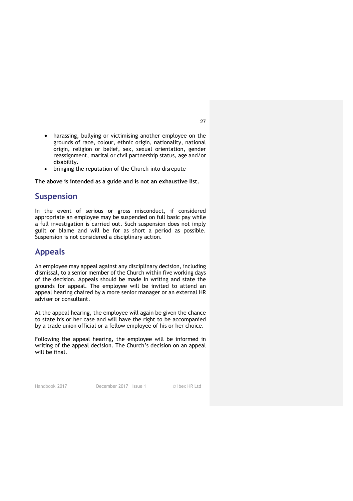- harassing, bullying or victimising another employee on the grounds of race, colour, ethnic origin, nationality, national origin, religion or belief, sex, sexual orientation, gender reassignment, marital or civil partnership status, age and/or disability.
- bringing the reputation of the Church into disrepute

**The above is intended as a guide and is not an exhaustive list.**

#### **Suspension**

In the event of serious or gross misconduct, if considered appropriate an employee may be suspended on full basic pay while a full investigation is carried out. Such suspension does not imply guilt or blame and will be for as short a period as possible. Suspension is not considered a disciplinary action.

#### **Appeals**

An employee may appeal against any disciplinary decision, including dismissal, to a senior member of the Church within five working days of the decision. Appeals should be made in writing and state the grounds for appeal. The employee will be invited to attend an appeal hearing chaired by a more senior manager or an external HR adviser or consultant.

At the appeal hearing, the employee will again be given the chance to state his or her case and will have the right to be accompanied by a trade union official or a fellow employee of his or her choice.

Following the appeal hearing, the employee will be informed in writing of the appeal decision. The Church's decision on an appeal will be final.

Handbook 2017 December 2017 Issue 1 © Ibex HR Ltd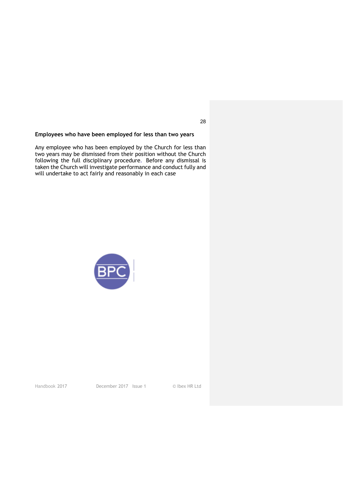#### **Employees who have been employed for less than two years**

Any employee who has been employed by the Church for less than<br>two years may be dismissed from their position without the Church<br>following the full disciplinary procedure. Before any dismissal is<br>taken the Church will inve



Handbook 2017 December 2017 Issue 1 © Ibex HR Ltd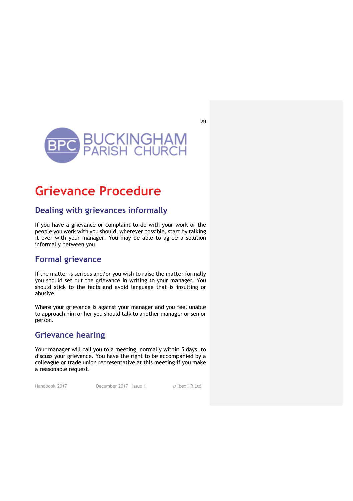

## **Grievance Procedure**

#### **Dealing with grievances informally**

If you have a grievance or complaint to do with your work or the people you work with you should, wherever possible, start by talking it over with your manager. You may be able to agree a solution informally between you.

#### **Formal grievance**

If the matter is serious and/or you wish to raise the matter formally you should set out the grievance in writing to your manager. You should stick to the facts and avoid language that is insulting or abusive.

Where your grievance is against your manager and you feel unable to approach him or her you should talk to another manager or senior person.

#### **Grievance hearing**

Your manager will call you to a meeting, normally within 5 days, to discuss your grievance. You have the right to be accompanied by a colleague or trade union representative at this meeting if you make a reasonable request.

Handbook 2017 December 2017 Issue 1 © Ibex HR Ltd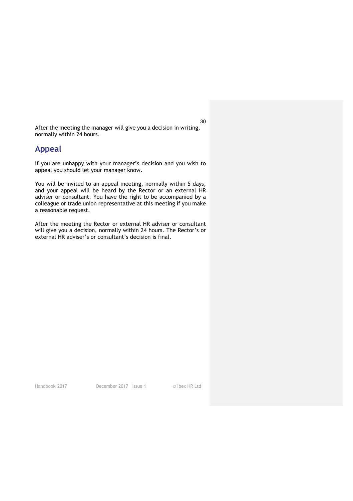After the meeting the manager will give you a decision in writing, normally within 24 hours.

#### **Appeal**

If you are unhappy with your manager's decision and you wish to appeal you should let your manager know.

You will be invited to an appeal meeting, normally within 5 days, and your appeal will be heard by the Rector or an external HR adviser or consultant. You have the right to be accompanied by a colleague or trade union representative at this meeting if you make a reasonable request.

After the meeting the Rector or external HR adviser or consultant will give you a decision, normally within 24 hours. The Rector's or external HR adviser's or consultant's decision is final.

Handbook 2017 December 2017 Issue 1 © Ibex HR Ltd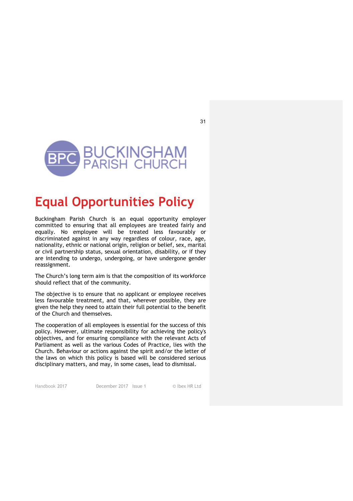

## **Equal Opportunities Policy**

Buckingham Parish Church is an equal opportunity employer committed to ensuring that all employees are treated fairly and equally. No employee will be treated less favourably or discriminated against in any way regardless of colour, race, age, nationality, ethnic or national origin, religion or belief, sex, marital or civil partnership status, sexual orientation, disability, or if they are intending to undergo, undergoing, or have undergone gender reassignment.

The Church's long term aim is that the composition of its workforce should reflect that of the community.

The objective is to ensure that no applicant or employee receives less favourable treatment, and that, wherever possible, they are given the help they need to attain their full potential to the benefit of the Church and themselves.

The cooperation of all employees is essential for the success of this policy. However, ultimate responsibility for achieving the policy's objectives, and for ensuring compliance with the relevant Acts of Parliament as well as the various Codes of Practice, lies with the Church. Behaviour or actions against the spirit and/or the letter of the laws on which this policy is based will be considered serious disciplinary matters, and may, in some cases, lead to dismissal.

Handbook 2017 December 2017 Issue 1 © Ibex HR Ltd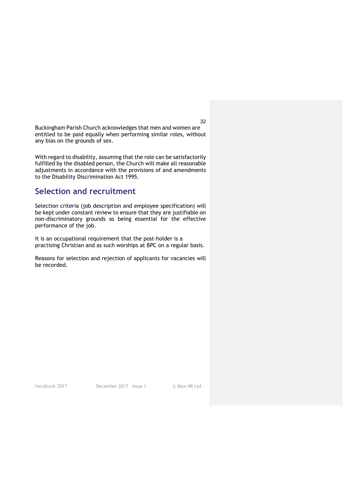Buckingham Parish Church acknowledges that men and women are entitled to be paid equally when performing similar roles, without any bias on the grounds of sex.

With regard to disability, assuming that the role can be satisfactorily fulfilled by the disabled person, the Church will make all reasonable adjustments in accordance with the provisions of and amendments to the Disability Discrimination Act 1995.

#### **Selection and recruitment**

Selection criteria (job description and employee specification) will be kept under constant review to ensure that they are justifiable on non-discriminatory grounds as being essential for the effective performance of the job.

It is an occupational requirement that the post-holder is a practising Christian and as such worships at BPC on a regular basis.

Reasons for selection and rejection of applicants for vacancies will be recorded.

Handbook 2017 December 2017 Issue 1 © Ibex HR Ltd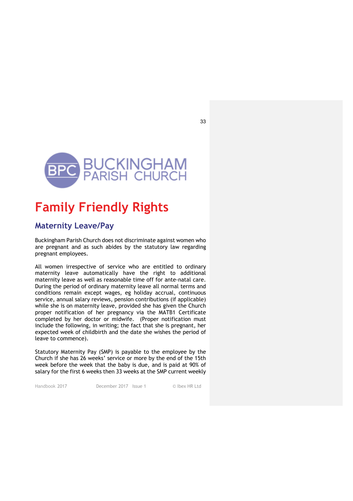

## **Family Friendly Rights**

#### **Maternity Leave/Pay**

Buckingham Parish Church does not discriminate against women who are pregnant and as such abides by the statutory law regarding pregnant employees.

All women irrespective of service who are entitled to ordinary maternity leave automatically have the right to additional maternity leave as well as reasonable time off for ante-natal care. During the period of ordinary maternity leave all normal terms and conditions remain except wages, eg holiday accrual, continuous service, annual salary reviews, pension contributions (if applicable) while she is on maternity leave, provided she has given the Church proper notification of her pregnancy via the MATB1 Certificate completed by her doctor or midwife. (Proper notification must include the following, in writing; the fact that she is pregnant, her expected week of childbirth and the date she wishes the period of leave to commence).

Statutory Maternity Pay (SMP) is payable to the employee by the Church if she has 26 weeks' service or more by the end of the 15th week before the week that the baby is due, and is paid at 90% of salary for the first 6 weeks then 33 weeks at the SMP current weekly

Handbook 2017 December 2017 Issue 1 © Ibex HR Ltd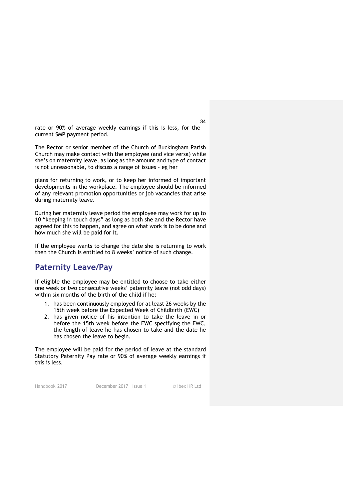rate or 90% of average weekly earnings if this is less, for the current SMP payment period.

The Rector or senior member of the Church of Buckingham Parish Church may make contact with the employee (and vice versa) while she's on maternity leave, as long as the amount and type of contact is not unreasonable, to discuss a range of issues – eg her

plans for returning to work, or to keep her informed of important developments in the workplace. The employee should be informed of any relevant promotion opportunities or job vacancies that arise during maternity leave.

During her maternity leave period the employee may work for up to 10 "keeping in touch days" as long as both she and the Rector have agreed for this to happen, and agree on what work is to be done and how much she will be paid for it.

If the employee wants to change the date she is returning to work then the Church is entitled to 8 weeks' notice of such change.

#### **Paternity Leave/Pay**

If eligible the employee may be entitled to choose to take either one week or two consecutive weeks' paternity leave (not odd days) within six months of the birth of the child if he:

- 1. has been continuously employed for at least 26 weeks by the 15th week before the Expected Week of Childbirth (EWC)
- 2. has given notice of his intention to take the leave in or before the 15th week before the EWC specifying the EWC, the length of leave he has chosen to take and the date he has chosen the leave to begin.

The employee will be paid for the period of leave at the standard Statutory Paternity Pay rate or 90% of average weekly earnings if this is less.

Handbook 2017 December 2017 Issue 1 © Ibex HR Ltd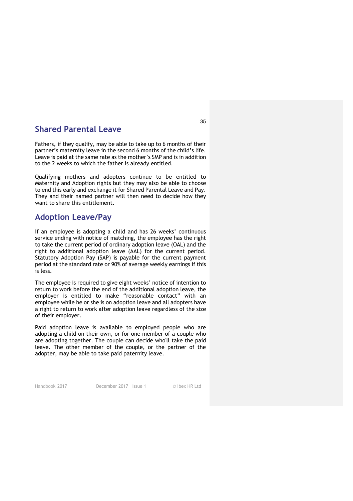#### **Shared Parental Leave**

Fathers, if they qualify, may be able to take up to 6 months of their partner's maternity leave in the second 6 months of the child's life. Leave is paid at the same rate as the mother's SMP and is in addition to the 2 weeks to which the father is already entitled.

Qualifying mothers and adopters continue to be entitled to Maternity and Adoption rights but they may also be able to choose to end this early and exchange it for Shared Parental Leave and Pay. They and their named partner will then need to decide how they want to share this entitlement.

#### **Adoption Leave/Pay**

If an employee is adopting a child and has 26 weeks' continuous service ending with notice of matching, the employee has the right to take the current period of ordinary adoption leave (OAL) and the right to additional adoption leave (AAL) for the current period. Statutory Adoption Pay (SAP) is payable for the current payment period at the standard rate or 90% of average weekly earnings if this is less.

The employee is required to give eight weeks' notice of intention to return to work before the end of the additional adoption leave, the employer is entitled to make "reasonable contact" with an employee while he or she is on adoption leave and all adopters have a right to return to work after adoption leave regardless of the size of their employer.

Paid adoption leave is available to employed people who are adopting a child on their own, or for one member of a couple who are adopting together. The couple can decide who'll take the paid leave. The other member of the couple, or the partner of the adopter, may be able to take paid paternity leave.

Handbook 2017 December 2017 Issue 1 © Ibex HR Ltd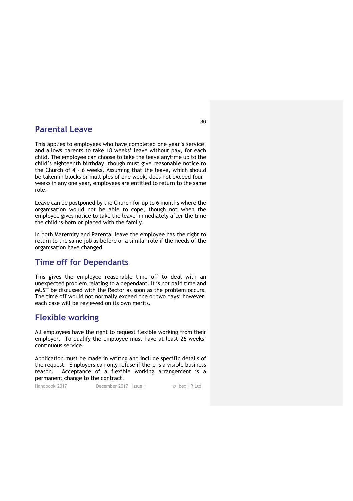#### **Parental Leave**

This applies to employees who have completed one year's service, and allows parents to take 18 weeks' leave without pay, for each child. The employee can choose to take the leave anytime up to the child's eighteenth birthday, though must give reasonable notice to the Church of 4 – 6 weeks. Assuming that the leave, which should be taken in blocks or multiples of one week, does not exceed four weeks in any one year, employees are entitled to return to the same role.

Leave can be postponed by the Church for up to 6 months where the organisation would not be able to cope, though not when the employee gives notice to take the leave immediately after the time the child is born or placed with the family.

In both Maternity and Parental leave the employee has the right to return to the same job as before or a similar role if the needs of the organisation have changed.

#### **Time off for Dependants**

This gives the employee reasonable time off to deal with an unexpected problem relating to a dependant. It is not paid time and MUST be discussed with the Rector as soon as the problem occurs. The time off would not normally exceed one or two days; however, each case will be reviewed on its own merits.

#### **Flexible working**

All employees have the right to request flexible working from their employer. To qualify the employee must have at least 26 weeks' continuous service.

Application must be made in writing and include specific details of the request. Employers can only refuse if there is a visible business reason. Acceptance of a flexible working arrangement is a permanent change to the contract.

Handbook 2017 December 2017 Issue 1 © Ibex HR Ltd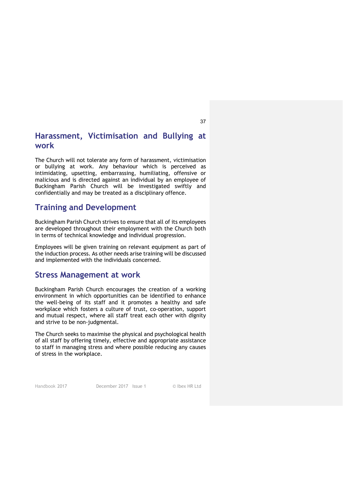#### **Harassment, Victimisation and Bullying at work**

The Church will not tolerate any form of harassment, victimisation or bullying at work. Any behaviour which is perceived as intimidating, upsetting, embarrassing, humiliating, offensive or malicious and is directed against an individual by an employee of Buckingham Parish Church will be investigated swiftly and confidentially and may be treated as a disciplinary offence.

#### **Training and Development**

Buckingham Parish Church strives to ensure that all of its employees are developed throughout their employment with the Church both in terms of technical knowledge and individual progression.

Employees will be given training on relevant equipment as part of the induction process. As other needs arise training will be discussed and implemented with the individuals concerned.

#### **Stress Management at work**

Buckingham Parish Church encourages the creation of a working environment in which opportunities can be identified to enhance the well-being of its staff and it promotes a healthy and safe workplace which fosters a culture of trust, co-operation, support and mutual respect, where all staff treat each other with dignity and strive to be non-judgmental.

The Church seeks to maximise the physical and psychological health of all staff by offering timely, effective and appropriate assistance to staff in managing stress and where possible reducing any causes of stress in the workplace.

Handbook 2017 December 2017 Issue 1 © Ibex HR Ltd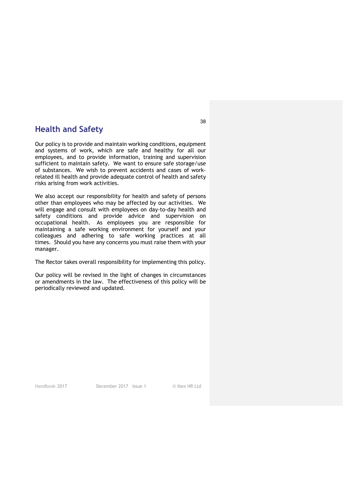#### **Health and Safety**

Our policy is to provide and maintain working conditions, equipment and systems of work, which are safe and healthy for all our employees, and to provide information, training and supervision sufficient to maintain safety. We want to ensure safe storage/use of substances. We wish to prevent accidents and cases of workrelated ill health and provide adequate control of health and safety risks arising from work activities.

We also accept our responsibility for health and safety of persons other than employees who may be affected by our activities. We will engage and consult with employees on day-to-day health and safety conditions and provide advice and supervision on occupational health. As employees you are responsible for maintaining a safe working environment for yourself and your colleagues and adhering to safe working practices at all times. Should you have any concerns you must raise them with your manager.

The Rector takes overall responsibility for implementing this policy.

Our policy will be revised in the light of changes in circumstances or amendments in the law. The effectiveness of this policy will be periodically reviewed and updated.

Handbook 2017 December 2017 Issue 1 © Ibex HR Ltd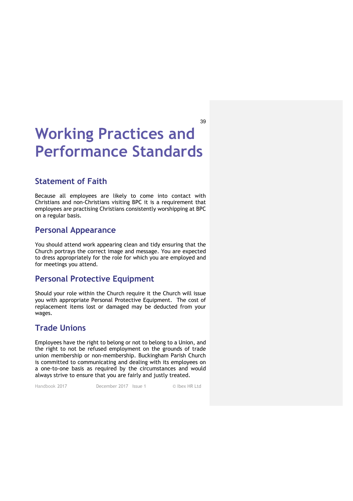## **Working Practices and Performance Standards**

#### **Statement of Faith**

Because all employees are likely to come into contact with Christians and non-Christians visiting BPC it is a requirement that employees are practising Christians consistently worshipping at BPC on a regular basis.

#### **Personal Appearance**

You should attend work appearing clean and tidy ensuring that the Church portrays the correct image and message. You are expected to dress appropriately for the role for which you are employed and for meetings you attend.

#### **Personal Protective Equipment**

Should your role within the Church require it the Church will issue you with appropriate Personal Protective Equipment. The cost of replacement items lost or damaged may be deducted from your wages.

#### **Trade Unions**

Employees have the right to belong or not to belong to a Union, and the right to not be refused employment on the grounds of trade union membership or non-membership. Buckingham Parish Church is committed to communicating and dealing with its employees on a one-to-one basis as required by the circumstances and would always strive to ensure that you are fairly and justly treated.

Handbook 2017 December 2017 Issue 1 © Ibex HR Ltd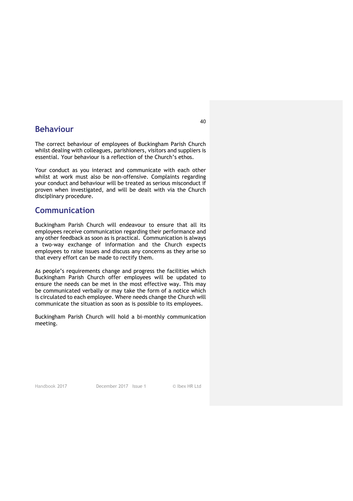#### **Behaviour**

The correct behaviour of employees of Buckingham Parish Church whilst dealing with colleagues, parishioners, visitors and suppliers is essential. Your behaviour is a reflection of the Church's ethos.

Your conduct as you interact and communicate with each other whilst at work must also be non-offensive. Complaints regarding your conduct and behaviour will be treated as serious misconduct if proven when investigated, and will be dealt with via the Church disciplinary procedure.

#### **Communication**

Buckingham Parish Church will endeavour to ensure that all its employees receive communication regarding their performance and any other feedback as soon as is practical. Communication is always a two-way exchange of information and the Church expects employees to raise issues and discuss any concerns as they arise so that every effort can be made to rectify them.

As people's requirements change and progress the facilities which Buckingham Parish Church offer employees will be updated to ensure the needs can be met in the most effective way. This may be communicated verbally or may take the form of a notice which is circulated to each employee. Where needs change the Church will communicate the situation as soon as is possible to its employees.

Buckingham Parish Church will hold a bi-monthly communication meeting.

Handbook 2017 December 2017 Issue 1 © Ibex HR Ltd